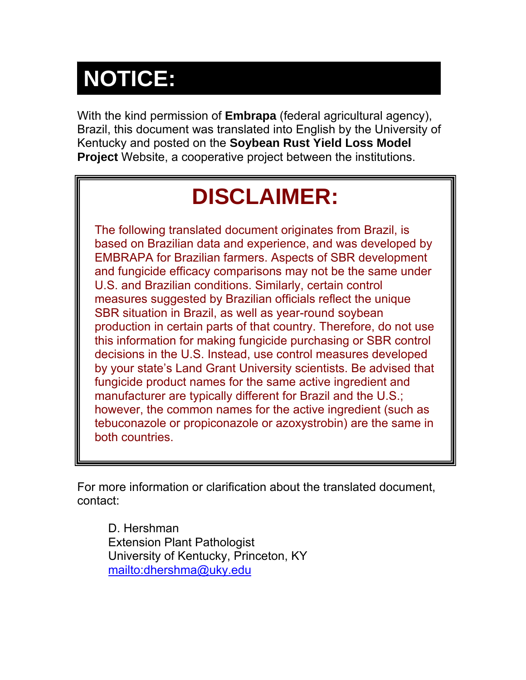# **NOTICE:**

With the kind permission of **Embrapa** (federal agricultural agency), Brazil, this document was translated into English by the University of Kentucky and posted on the **Soybean Rust Yield Loss Model Project** Website, a cooperative project between the institutions.

## **DISCLAIMER:**

The following translated document originates from Brazil, is based on Brazilian data and experience, and was developed by EMBRAPA for Brazilian farmers. Aspects of SBR development and fungicide efficacy comparisons may not be the same under U.S. and Brazilian conditions. Similarly, certain control measures suggested by Brazilian officials reflect the unique SBR situation in Brazil, as well as year-round soybean production in certain parts of that country. Therefore, do not use this information for making fungicide purchasing or SBR control decisions in the U.S. Instead, use control measures developed by your state's Land Grant University scientists. Be advised that fungicide product names for the same active ingredient and manufacturer are typically different for Brazil and the U.S.; however, the common names for the active ingredient (such as tebuconazole or propiconazole or azoxystrobin) are the same in both countries.

For more information or clarification about the translated document, contact:

D. Hershman Extension Plant Pathologist University of Kentucky, Princeton, KY [mailto:dhershma@uky.edu](mailto:Mdhershma@uky.edu)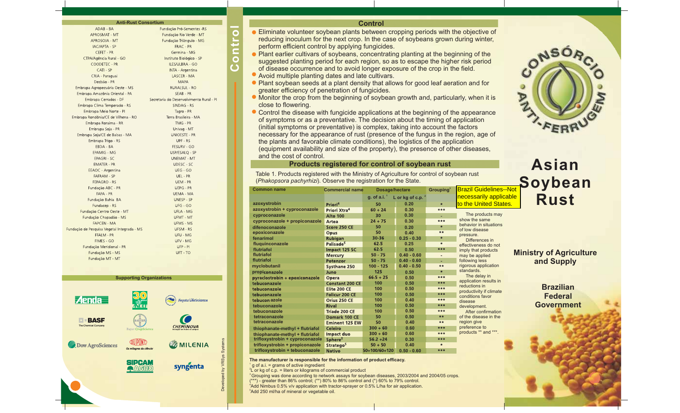| <b>Anti-Rust Consortium</b>                 |                                          |  |  |  |  |
|---------------------------------------------|------------------------------------------|--|--|--|--|
| ADAB - BA                                   | Fundação Pró-Sementes -RS                |  |  |  |  |
| <b>APROSMAT - MT</b>                        | Fundação Rio Verde - MT                  |  |  |  |  |
| APROSOJA - MT                               | Fundação Triângulo - MG                  |  |  |  |  |
| <b>IAC/APTA - SP</b>                        | FRAC - PR                                |  |  |  |  |
| <b>CEFET - PR</b>                           | Germina - MG                             |  |  |  |  |
| CTPA/Agência Rural - GO                     | Instituto Biológico - SP                 |  |  |  |  |
| COODETEC - PR                               | <b>ILES/ULBRA - GO</b>                   |  |  |  |  |
| CATI - SP                                   | <b>INTA - Argentina</b>                  |  |  |  |  |
| CRIA - Paraguai                             | LASCER - MA                              |  |  |  |  |
| Decisão - PR                                | <b>MAPA</b>                              |  |  |  |  |
| Embrapa Agropecuária Oeste - MS             | <b>RURALSUL - RO</b>                     |  |  |  |  |
| Embrapa Amazônia Oriental - PA              | SEAB - PR                                |  |  |  |  |
| Embrapa Cerrados - DF                       | Secretaria do Desenvolvimento Rural - Pl |  |  |  |  |
| Embrapa Clima Temperado - RS                | SINDAG - RS                              |  |  |  |  |
| Embrapa Meio Norte - Pl                     | Tagro - PR                               |  |  |  |  |
| Embrapa Rondônia/CE de Vilhena - RO         | Terra Brasileira - MA                    |  |  |  |  |
| Embrapa Roraima - RR                        | TMG - PR                                 |  |  |  |  |
| Embrapa Soja - PR                           | Univag - MT                              |  |  |  |  |
| Embrapa Soja/CE de Balsas - MA              | <b>UNIOESTE - PR</b>                     |  |  |  |  |
| Embrapa Trigo - RS                          | UPF - RS                                 |  |  |  |  |
| FBDA - BA                                   | <b>FESURV - GO</b>                       |  |  |  |  |
| EPAMIG - MG                                 | USP/ESALO - SP                           |  |  |  |  |
| <b>EPAGRI - SC</b>                          | <b>UNEMAT - MT</b>                       |  |  |  |  |
| <b>EMATER - PR</b>                          | <b>UDESC - SC</b>                        |  |  |  |  |
| EEAOC - Argentina                           | UEG - GO                                 |  |  |  |  |
| <b>FAFRAM - SP</b>                          | UEL - PR                                 |  |  |  |  |
| <b>FEPAGRO - RS</b>                         | UEM - PR                                 |  |  |  |  |
| Fundação ABC - PR                           | <b>UEPG - PR</b>                         |  |  |  |  |
| FAPA - PR                                   | UEMA - MA                                |  |  |  |  |
| Fundação Bahia BA                           | UNESP - SP                               |  |  |  |  |
| Fundacep - RS                               | UFG - GO                                 |  |  |  |  |
| Fundação Centro Oeste - MT                  | <b>UFLA - MG</b>                         |  |  |  |  |
| Fundação Chapadão - MS                      | UFMT - MT                                |  |  |  |  |
| <b>FAPCEN - MA</b>                          | UFMS - MS                                |  |  |  |  |
| -undação de Pesquisa Vegetal Integrada - MS | <b>UFSM - RS</b>                         |  |  |  |  |
| FFALM - PR                                  | UFU - MG                                 |  |  |  |  |
| FIMES - GO                                  | UFV - MG                                 |  |  |  |  |
| Fundação Meridional - PR                    | UFP - PI                                 |  |  |  |  |
| Fundação MS - MS                            | UFT - TO                                 |  |  |  |  |
| Fundación MT MT                             |                                          |  |  |  |  |

#### **Supporting Organizations**



#### **Control**

- **Eliminate volunteer soybean plants between cropping periods with the objective of** reducing inoculum for the next crop. In the case of soybeans grown during winter, perform efficient control by applying fungicides.
- Plant earlier cultivars of soybeans, concentrating planting at the beginning of the suggested planting period for each region, so as to escape the higher risk period of disease occurrence and to avoid longer exposure of the crop in the field.
- Avoid multiple planting dates and late cultivars.

**Control**

Ċ  $\circ$  $\overline{C}$ 

 $\bullet$ 

- Plant soybean seeds at <sup>a</sup> plant density that allows for good leaf aeration and for greater efficiency of penetration of fungicides.
- Monitor the crop from the beginning of soybean growth and, particularly, when it is close to flowering.
- Control the disease with fungicide applications at the beginning of the appearance of symptoms or as <sup>a</sup> preventative. The decision about the timing of application (initial symptoms or preventative) is complex, taking into account the factors necessary for the appearance of rust (presence of the fungus in the region, age of the plants and favorable climate conditions), the logistics of the application (equipment availability and size of the property), the presence of other diseases, and the cost of control.

#### **Products registered for control of soybean rust**

Table 1. Products registered with the Ministry of Agriculture for control of soybean rust (*Phakopsora pachyrhizi*). Observe the registration for the State.

| <b>Common name</b>              | <b>Commercial name</b>   | Dosage/hectare                        |               | Grouping $3$                           | <b>Brazil Guidelines--Not</b>            |          |
|---------------------------------|--------------------------|---------------------------------------|---------------|----------------------------------------|------------------------------------------|----------|
|                                 |                          | g. of a.i. $1$<br>L or kg of c.p. $2$ |               |                                        | necessarily applicable                   |          |
| azoxystrobin                    | Priori <sup>4</sup>      | 50                                    | 0.20          | $\star$                                | to the United States.                    |          |
| azoxystrobin + cyproconazole    | Priori Xtra <sup>4</sup> | $60 + 24$                             | 0.30          | $***$                                  |                                          |          |
| cyproconazole                   | <b>Alto 100</b>          | 30                                    | 0.30          |                                        | The products may                         |          |
| cyproconazole + propiconazole   | Artea                    | $24 + 75$                             | 0.30          | $***$                                  | show the same                            |          |
| difenoconazole                  | Score 250 CE             | 50                                    | 0.20          | $\ast$                                 | behavior in situations<br>of low disease |          |
| epoxiconazole                   | Opus                     | 50                                    | 0.40          | $**$                                   | pressure.                                |          |
| fenarimol                       | <b>Rubigan</b>           | 30-36                                 | $0.25 - 0.30$ | $\ast$                                 | Differences in                           |          |
| fluquinconazole                 | Palisade <sup>5</sup>    | 62.5                                  | 0.25          | $\star$                                | effectiveness do not                     |          |
| flutriafol                      | Impact 125 SC            | 62.5                                  | 0.50          | ***                                    | imply that products                      |          |
| flutriafol                      | <b>Mercury</b>           | $50 - 75$                             | $0.40 - 0.60$ | $\overline{\phantom{a}}$               | may be applied                           | <b>N</b> |
| flutriafol                      | Potenzor                 | $50 - 75$                             | $0.40 - 0.60$ |                                        | following less                           |          |
| myclobutanil                    | <b>Systhane 250</b>      | $100 - 125$                           | $0.40 - 0.50$ | $***$                                  | rigorous application                     |          |
| propiconazole                   | Juno                     | 125                                   | 0.50          | $\star$                                | standards.                               |          |
| pyraclostrobin + epoxiconazole  | Opera                    | $66.5 + 25$                           | 0.50          | ***                                    | The delay in                             |          |
| tebuconazole                    | <b>Constant 200 CE</b>   | 100                                   | 0.50          | ***                                    | application results in<br>reductions in  |          |
| tebuconazole                    | Elite 200 CE             | 100                                   | 0.50          | $***$                                  | productivity if climate                  |          |
| tebuconazole                    | <b>Folicur 200 CE</b>    | 100                                   | 0.50          | $***$                                  | conditions favor                         |          |
| tebucon azole                   | Orius 250 CE             | 100                                   | 0.40          | ***                                    | disease                                  |          |
| tebuconazole                    | <b>Rival</b>             | 100                                   | 0.50          | ***                                    | development.                             |          |
| tebuconazole                    | Tríade 200 CE            | 100                                   | 0.50          | $***$                                  | After confirmation                       |          |
| tetraconazole                   | Domark 100 CE            | 50                                    | 0.50          | $***$                                  | of the disease in the                    |          |
| tetraconazole                   | <b>Eminent 125 EW</b>    | 50                                    | 0.40          | $***$                                  | region give                              |          |
| thiophanate-methyl + flutriafol | <b>Celeiro</b>           | $300 + 60$                            | 0.60          | ***                                    | preference to                            |          |
| thiophanate-methyl + flutriafol | Impact duo               | $300 + 60$                            | 0.60          | $\pmb{\times}\pmb{\times}\pmb{\times}$ | products ** and ***.                     |          |
| trifloxystrobin + cyproconazole | Sphere <sup>5</sup>      | $56.2 + 24$                           | 0.30          | $***$                                  |                                          |          |
| trifloxystrobin + propiconazole | Stratego <sup>5</sup>    | $50 + 50$                             | 0.40          | $\ast$                                 |                                          |          |
| trifloxystrobin + tebuconazole  | <b>Nativo</b>            | $50+100/60+120$                       | $0.50 - 0.60$ | ***                                    |                                          |          |

#### **The manufacturer is responsible for the information of product efficacy.**

<sup>1</sup> g of a.i. = grams of active ingredient

Developed by VRSys Systems

 ${}^{2}$ L or kg of c.p. = liters or kilograms of commercial product  $\,^3$ Grouping was done according to network assays for soybean diseases, 2003/2004 and 2004/05 crops. 4 Add Nimbus 0.5% v/v application with tractor-sprayer or 0.5% L/ha for air application. 5 Add 250 ml/ha of mineral or vegetable oil. (\*\*\*) - greater than 86% control; (\*\*) 80% to 86% control and (\*) 60% to 79% control.



### **AsianSoybean Rust**<mark>Guidelines--Not</mark>

**Ministry of Agriculture and Supply**

> **BrazilianFederalGovernment**